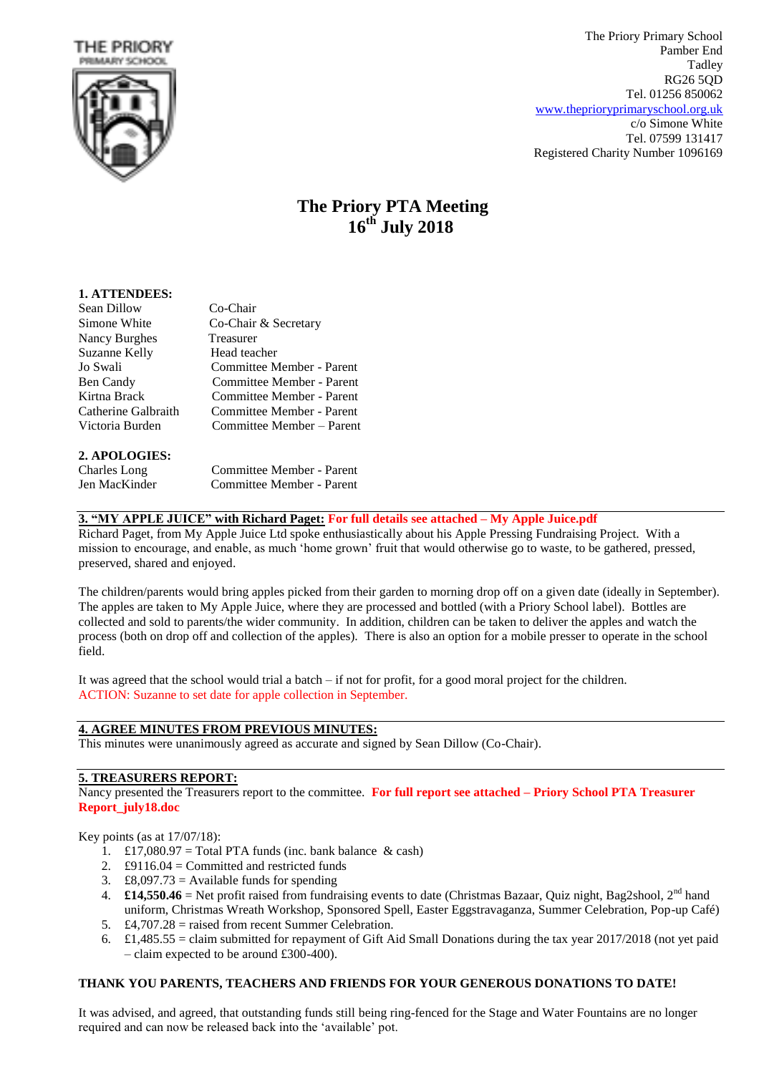



The Priory Primary School Pamber End Tadley RG26 5QD Tel. 01256 850062 [www.theprioryprimaryschool.org.uk](http://www.theprioryprimaryschool.org.uk/) c/o Simone White Tel. 07599 131417 Registered Charity Number 1096169

# **The Priory PTA Meeting 16th July 2018**

| <b>1. ATTENDEES:</b> |                           |
|----------------------|---------------------------|
| Sean Dillow          | Co-Chair                  |
| Simone White         | Co-Chair & Secretary      |
| Nancy Burghes        | Treasurer                 |
| Suzanne Kelly        | Head teacher              |
| Jo Swali             | Committee Member - Parent |
| Ben Candy            | Committee Member - Parent |
| Kirtna Brack         | Committee Member - Parent |
| Catherine Galbraith  | Committee Member - Parent |
| Victoria Burden      | Committee Member – Parent |
|                      |                           |
|                      |                           |

## **2. APOLOGIES:**

| Charles Long  | Committee Member - Parent |
|---------------|---------------------------|
| Jen MacKinder | Committee Member - Parent |

## **3. "MY APPLE JUICE" with Richard Paget: For full details see attached – My Apple Juice.pdf**

Richard Paget, from My Apple Juice Ltd spoke enthusiastically about his Apple Pressing Fundraising Project. With a mission to encourage, and enable, as much 'home grown' fruit that would otherwise go to waste, to be gathered, pressed, preserved, shared and enjoyed.

The children/parents would bring apples picked from their garden to morning drop off on a given date (ideally in September). The apples are taken to My Apple Juice, where they are processed and bottled (with a Priory School label). Bottles are collected and sold to parents/the wider community. In addition, children can be taken to deliver the apples and watch the process (both on drop off and collection of the apples). There is also an option for a mobile presser to operate in the school field.

It was agreed that the school would trial a batch – if not for profit, for a good moral project for the children. ACTION: Suzanne to set date for apple collection in September.

## **4. AGREE MINUTES FROM PREVIOUS MINUTES:**

This minutes were unanimously agreed as accurate and signed by Sean Dillow (Co-Chair).

## **5. TREASURERS REPORT:**

Nancy presented the Treasurers report to the committee. **For full report see attached – Priory School PTA Treasurer Report\_july18.doc**

## Key points (as at 17/07/18):

- 1. £17,080.97 = Total PTA funds (inc. bank balance  $\&$  cash)
- 2.  $\text{\pounds}9116.04 =$  Committed and restricted funds
- 3.  $\text{\pounds}8,097.73 = \text{Available funds for spending}$
- 4. **£14,550.46** = Net profit raised from fundraising events to date (Christmas Bazaar, Quiz night, Bag2shool, 2<sup>nd</sup> hand uniform, Christmas Wreath Workshop, Sponsored Spell, Easter Eggstravaganza, Summer Celebration, Pop-up Café)
- 5. £4,707.28 = raised from recent Summer Celebration.
- 6. £1,485.55 = claim submitted for repayment of Gift Aid Small Donations during the tax year 2017/2018 (not yet paid – claim expected to be around £300-400).

## **THANK YOU PARENTS, TEACHERS AND FRIENDS FOR YOUR GENEROUS DONATIONS TO DATE!**

It was advised, and agreed, that outstanding funds still being ring-fenced for the Stage and Water Fountains are no longer required and can now be released back into the 'available' pot.